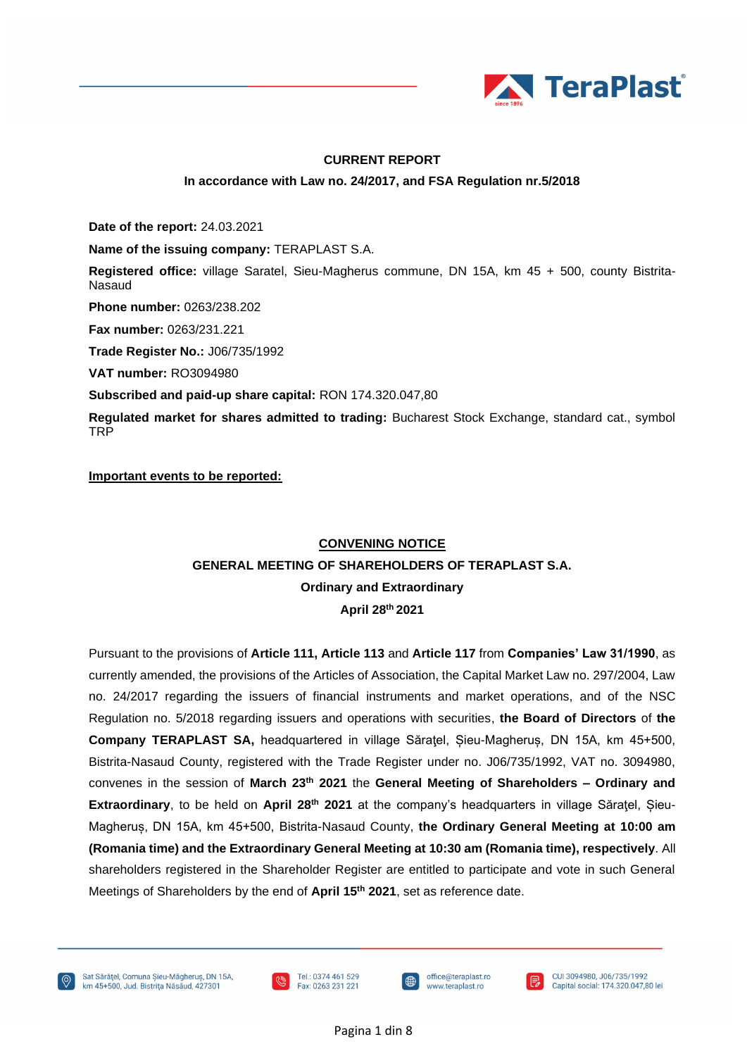

### **CURRENT REPORT**

#### **In accordance with Law no. 24/2017, and FSA Regulation nr.5/2018**

**Date of the report:** 24.03.2021

**Name of the issuing company:** TERAPLAST S.A.

**Registered office:** village Saratel, Sieu-Magherus commune, DN 15A, km 45 + 500, county Bistrita-Nasaud

**Phone number:** 0263/238.202

**Fax number:** 0263/231.221

**Trade Register No.:** J06/735/1992

**VAT number:** RO3094980

**Subscribed and paid-up share capital:** RON 174.320.047,80

**Regulated market for shares admitted to trading:** Bucharest Stock Exchange, standard cat., symbol TRP

**Important events to be reported:**

### **CONVENING NOTICE**

### **GENERAL MEETING OF SHAREHOLDERS OF TERAPLAST S.A.**

**Ordinary and Extraordinary**

**April 28 th 2021**

Pursuant to the provisions of **Article 111, Article 113** and **Article 117** from **Companies' Law 31/1990**, as currently amended, the provisions of the Articles of Association, the Capital Market Law no. 297/2004, Law no. 24/2017 regarding the issuers of financial instruments and market operations, and of the NSC Regulation no. 5/2018 regarding issuers and operations with securities, **the Board of Directors** of **the Company TERAPLAST SA,** headquartered in village Săraţel, Șieu-Magheruș, DN 15A, km 45+500, Bistrita-Nasaud County, registered with the Trade Register under no. J06/735/1992, VAT no. 3094980, convenes in the session of **March 23th 2021** the **General Meeting of Shareholders – Ordinary and Extraordinary**, to be held on **April 28 th 2021** at the company's headquarters in village Săraţel, Șieu-Magheruș, DN 15A, km 45+500, Bistrita-Nasaud County, **the Ordinary General Meeting at 10:00 am (Romania time) and the Extraordinary General Meeting at 10:30 am (Romania time), respectively**. All shareholders registered in the Shareholder Register are entitled to participate and vote in such General Meetings of Shareholders by the end of **April 15 th 2021**, set as reference date.

Sat Sărățel, Comuna Sieu-Măgherus, DN 15A, km 45+500, Jud. Bistrița Năsăud, 427301







CUI 3094980, J06/735/1992 Capital social: 174.320.047,80 lei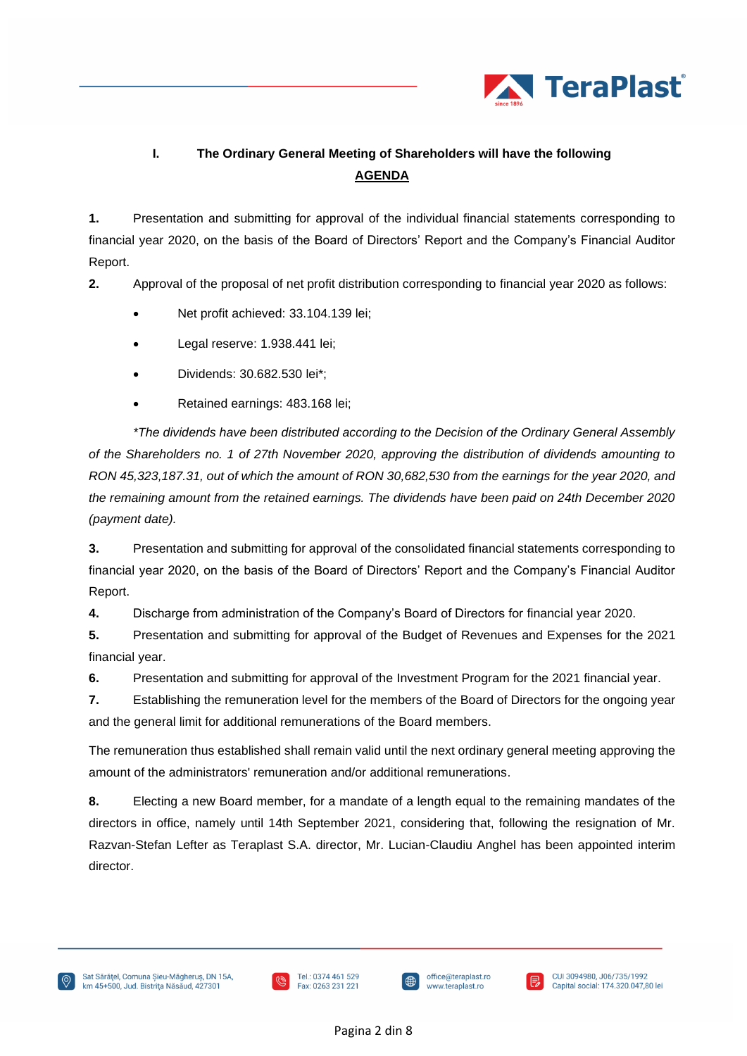

# **I. The Ordinary General Meeting of Shareholders will have the following AGENDA**

**1.** Presentation and submitting for approval of the individual financial statements corresponding to financial year 2020, on the basis of the Board of Directors' Report and the Company's Financial Auditor Report.

**2.** Approval of the proposal of net profit distribution corresponding to financial year 2020 as follows:

- Net profit achieved: 33.104.139 lei;
- Legal reserve: 1.938.441 lei;
- Dividends: 30.682.530 lei\*;
- Retained earnings: 483.168 lei;

*\*The dividends have been distributed according to the Decision of the Ordinary General Assembly of the Shareholders no. 1 of 27th November 2020, approving the distribution of dividends amounting to RON 45,323,187.31, out of which the amount of RON 30,682,530 from the earnings for the year 2020, and the remaining amount from the retained earnings. The dividends have been paid on 24th December 2020 (payment date).*

**3.** Presentation and submitting for approval of the consolidated financial statements corresponding to financial year 2020, on the basis of the Board of Directors' Report and the Company's Financial Auditor Report.

**4.** Discharge from administration of the Company's Board of Directors for financial year 2020.

**5.** Presentation and submitting for approval of the Budget of Revenues and Expenses for the 2021 financial year.

**6.** Presentation and submitting for approval of the Investment Program for the 2021 financial year.

**7.** Establishing the remuneration level for the members of the Board of Directors for the ongoing year and the general limit for additional remunerations of the Board members.

The remuneration thus established shall remain valid until the next ordinary general meeting approving the amount of the administrators' remuneration and/or additional remunerations.

**8.** Electing a new Board member, for a mandate of a length equal to the remaining mandates of the directors in office, namely until 14th September 2021, considering that, following the resignation of Mr. Razvan-Stefan Lefter as Teraplast S.A. director, Mr. Lucian-Claudiu Anghel has been appointed interim director.





⊕

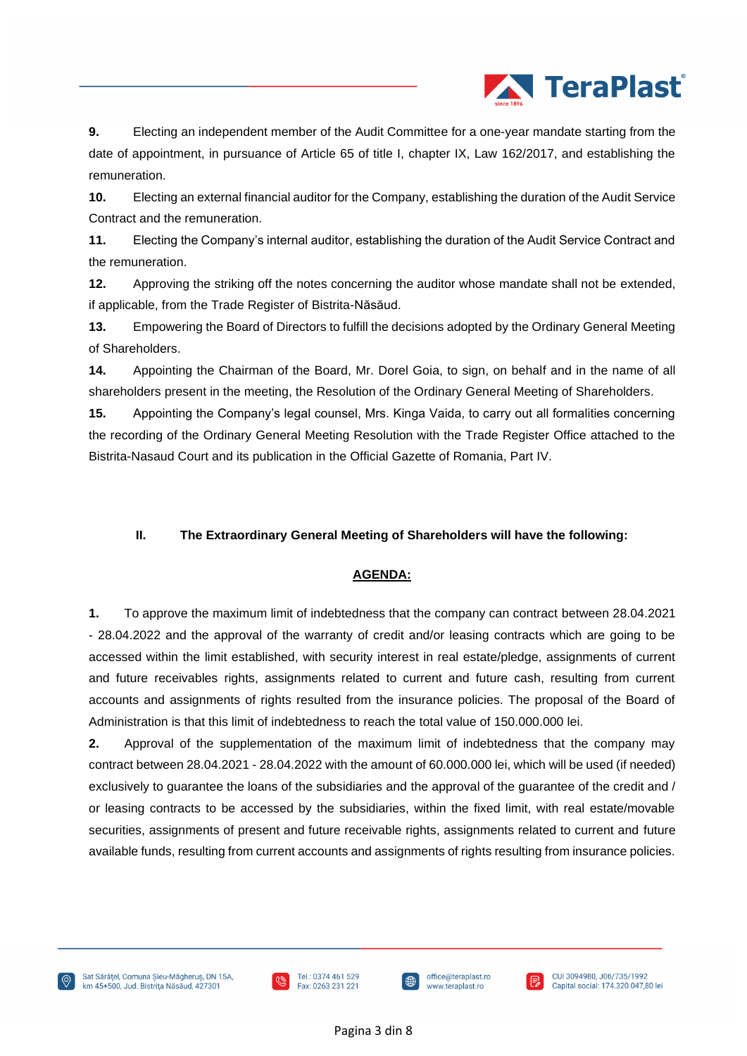

**9.** Electing an independent member of the Audit Committee for a one-year mandate starting from the date of appointment, in pursuance of Article 65 of title I, chapter IX, Law 162/2017, and establishing the remuneration.

**10.** Electing an external financial auditor for the Company, establishing the duration of the Audit Service Contract and the remuneration.

**11.** Electing the Company's internal auditor, establishing the duration of the Audit Service Contract and the remuneration.

**12.** Approving the striking off the notes concerning the auditor whose mandate shall not be extended, if applicable, from the Trade Register of Bistrita-Năsăud.

**13.** Empowering the Board of Directors to fulfill the decisions adopted by the Ordinary General Meeting of Shareholders.

**14.** Appointing the Chairman of the Board, Mr. Dorel Goia, to sign, on behalf and in the name of all shareholders present in the meeting, the Resolution of the Ordinary General Meeting of Shareholders.

**15.** Appointing the Company's legal counsel, Mrs. Kinga Vaida, to carry out all formalities concerning the recording of the Ordinary General Meeting Resolution with the Trade Register Office attached to the Bistrita-Nasaud Court and its publication in the Official Gazette of Romania, Part IV.

### **II. The Extraordinary General Meeting of Shareholders will have the following:**

### **AGENDA:**

**1.** To approve the maximum limit of indebtedness that the company can contract between 28.04.2021 - 28.04.2022 and the approval of the warranty of credit and/or leasing contracts which are going to be accessed within the limit established, with security interest in real estate/pledge, assignments of current and future receivables rights, assignments related to current and future cash, resulting from current accounts and assignments of rights resulted from the insurance policies. The proposal of the Board of Administration is that this limit of indebtedness to reach the total value of 150.000.000 lei.

**2.** Approval of the supplementation of the maximum limit of indebtedness that the company may contract between 28.04.2021 - 28.04.2022 with the amount of 60.000.000 lei, which will be used (if needed) exclusively to guarantee the loans of the subsidiaries and the approval of the guarantee of the credit and / or leasing contracts to be accessed by the subsidiaries, within the fixed limit, with real estate/movable securities, assignments of present and future receivable rights, assignments related to current and future available funds, resulting from current accounts and assignments of rights resulting from insurance policies.





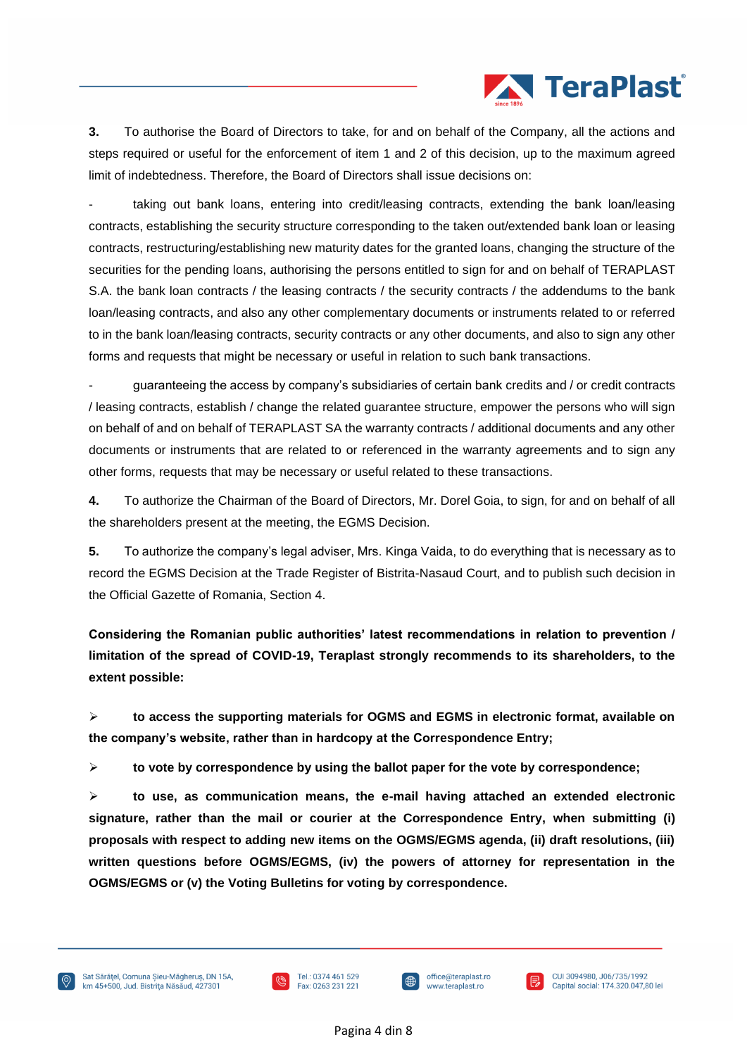

**3.** To authorise the Board of Directors to take, for and on behalf of the Company, all the actions and steps required or useful for the enforcement of item 1 and 2 of this decision, up to the maximum agreed limit of indebtedness. Therefore, the Board of Directors shall issue decisions on:

taking out bank loans, entering into credit/leasing contracts, extending the bank loan/leasing contracts, establishing the security structure corresponding to the taken out/extended bank loan or leasing contracts, restructuring/establishing new maturity dates for the granted loans, changing the structure of the securities for the pending loans, authorising the persons entitled to sign for and on behalf of TERAPLAST S.A. the bank loan contracts / the leasing contracts / the security contracts / the addendums to the bank loan/leasing contracts, and also any other complementary documents or instruments related to or referred to in the bank loan/leasing contracts, security contracts or any other documents, and also to sign any other forms and requests that might be necessary or useful in relation to such bank transactions.

- guaranteeing the access by company's subsidiaries of certain bank credits and / or credit contracts / leasing contracts, establish / change the related guarantee structure, empower the persons who will sign on behalf of and on behalf of TERAPLAST SA the warranty contracts / additional documents and any other documents or instruments that are related to or referenced in the warranty agreements and to sign any other forms, requests that may be necessary or useful related to these transactions.

**4.** To authorize the Chairman of the Board of Directors, Mr. Dorel Goia, to sign, for and on behalf of all the shareholders present at the meeting, the EGMS Decision.

**5.** To authorize the company's legal adviser, Mrs. Kinga Vaida, to do everything that is necessary as to record the EGMS Decision at the Trade Register of Bistrita-Nasaud Court, and to publish such decision in the Official Gazette of Romania, Section 4.

**Considering the Romanian public authorities' latest recommendations in relation to prevention / limitation of the spread of COVID-19, Teraplast strongly recommends to its shareholders, to the extent possible:**

➢ **to access the supporting materials for OGMS and EGMS in electronic format, available on the company's website, rather than in hardcopy at the Correspondence Entry;**

➢ **to vote by correspondence by using the ballot paper for the vote by correspondence;**

➢ **to use, as communication means, the e-mail having attached an extended electronic signature, rather than the mail or courier at the Correspondence Entry, when submitting (i) proposals with respect to adding new items on the OGMS/EGMS agenda, (ii) draft resolutions, (iii) written questions before OGMS/EGMS, (iv) the powers of attorney for representation in the OGMS/EGMS or (v) the Voting Bulletins for voting by correspondence.**







∣₽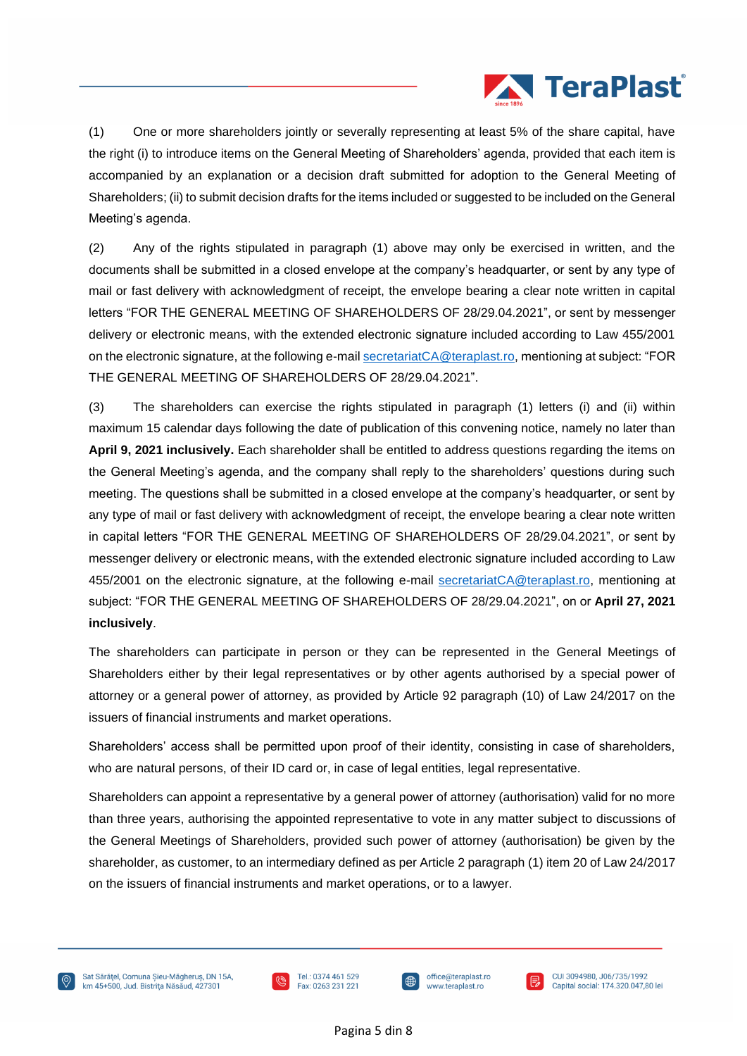

(1) One or more shareholders jointly or severally representing at least 5% of the share capital, have the right (i) to introduce items on the General Meeting of Shareholders' agenda, provided that each item is accompanied by an explanation or a decision draft submitted for adoption to the General Meeting of Shareholders; (ii) to submit decision drafts for the items included or suggested to be included on the General Meeting's agenda.

(2) Any of the rights stipulated in paragraph (1) above may only be exercised in written, and the documents shall be submitted in a closed envelope at the company's headquarter, or sent by any type of mail or fast delivery with acknowledgment of receipt, the envelope bearing a clear note written in capital letters "FOR THE GENERAL MEETING OF SHAREHOLDERS OF 28/29.04.2021", or sent by messenger delivery or electronic means, with the extended electronic signature included according to Law 455/2001 on the electronic signature, at the following e-mai[l secretariatCA@teraplast.ro,](mailto:secretariatCA@teraplast.ro) mentioning at subject: "FOR THE GENERAL MEETING OF SHAREHOLDERS OF 28/29.04.2021".

(3) The shareholders can exercise the rights stipulated in paragraph (1) letters (i) and (ii) within maximum 15 calendar days following the date of publication of this convening notice, namely no later than **April 9, 2021 inclusively.** Each shareholder shall be entitled to address questions regarding the items on the General Meeting's agenda, and the company shall reply to the shareholders' questions during such meeting. The questions shall be submitted in a closed envelope at the company's headquarter, or sent by any type of mail or fast delivery with acknowledgment of receipt, the envelope bearing a clear note written in capital letters "FOR THE GENERAL MEETING OF SHAREHOLDERS OF 28/29.04.2021", or sent by messenger delivery or electronic means, with the extended electronic signature included according to Law 455/2001 on the electronic signature, at the following e-mail [secretariatCA@teraplast.ro,](mailto:secretariatCA@teraplast.ro) mentioning at subject: "FOR THE GENERAL MEETING OF SHAREHOLDERS OF 28/29.04.2021", on or **April 27, 2021 inclusively**.

The shareholders can participate in person or they can be represented in the General Meetings of Shareholders either by their legal representatives or by other agents authorised by a special power of attorney or a general power of attorney, as provided by Article 92 paragraph (10) of Law 24/2017 on the issuers of financial instruments and market operations.

Shareholders' access shall be permitted upon proof of their identity, consisting in case of shareholders, who are natural persons, of their ID card or, in case of legal entities, legal representative.

Shareholders can appoint a representative by a general power of attorney (authorisation) valid for no more than three years, authorising the appointed representative to vote in any matter subject to discussions of the General Meetings of Shareholders, provided such power of attorney (authorisation) be given by the shareholder, as customer, to an intermediary defined as per Article 2 paragraph (1) item 20 of Law 24/2017 on the issuers of financial instruments and market operations, or to a lawyer.





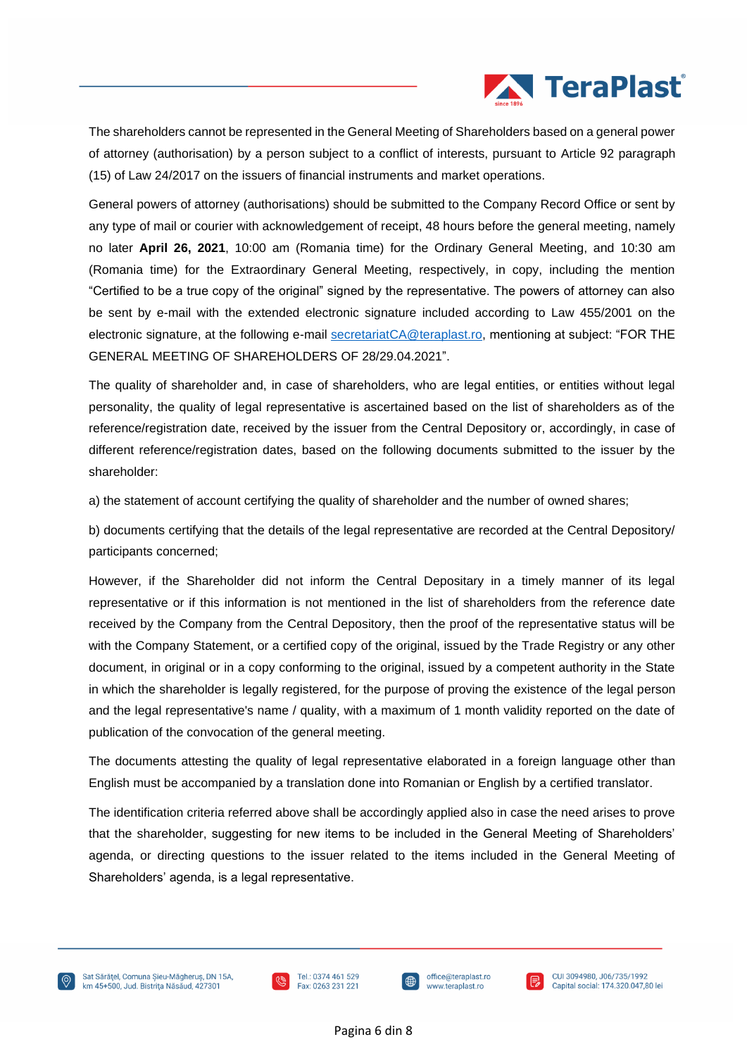

The shareholders cannot be represented in the General Meeting of Shareholders based on a general power of attorney (authorisation) by a person subject to a conflict of interests, pursuant to Article 92 paragraph (15) of Law 24/2017 on the issuers of financial instruments and market operations.

General powers of attorney (authorisations) should be submitted to the Company Record Office or sent by any type of mail or courier with acknowledgement of receipt, 48 hours before the general meeting, namely no later **April 26, 2021**, 10:00 am (Romania time) for the Ordinary General Meeting, and 10:30 am (Romania time) for the Extraordinary General Meeting, respectively, in copy, including the mention "Certified to be a true copy of the original" signed by the representative. The powers of attorney can also be sent by e-mail with the extended electronic signature included according to Law 455/2001 on the electronic signature, at the following e-mail [secretariatCA@teraplast.ro,](mailto:secretariatCA@teraplast.ro) mentioning at subject: "FOR THE GENERAL MEETING OF SHAREHOLDERS OF 28/29.04.2021".

The quality of shareholder and, in case of shareholders, who are legal entities, or entities without legal personality, the quality of legal representative is ascertained based on the list of shareholders as of the reference/registration date, received by the issuer from the Central Depository or, accordingly, in case of different reference/registration dates, based on the following documents submitted to the issuer by the shareholder:

a) the statement of account certifying the quality of shareholder and the number of owned shares;

b) documents certifying that the details of the legal representative are recorded at the Central Depository/ participants concerned;

However, if the Shareholder did not inform the Central Depositary in a timely manner of its legal representative or if this information is not mentioned in the list of shareholders from the reference date received by the Company from the Central Depository, then the proof of the representative status will be with the Company Statement, or a certified copy of the original, issued by the Trade Registry or any other document, in original or in a copy conforming to the original, issued by a competent authority in the State in which the shareholder is legally registered, for the purpose of proving the existence of the legal person and the legal representative's name / quality, with a maximum of 1 month validity reported on the date of publication of the convocation of the general meeting.

The documents attesting the quality of legal representative elaborated in a foreign language other than English must be accompanied by a translation done into Romanian or English by a certified translator.

The identification criteria referred above shall be accordingly applied also in case the need arises to prove that the shareholder, suggesting for new items to be included in the General Meeting of Shareholders' agenda, or directing questions to the issuer related to the items included in the General Meeting of Shareholders' agenda, is a legal representative.





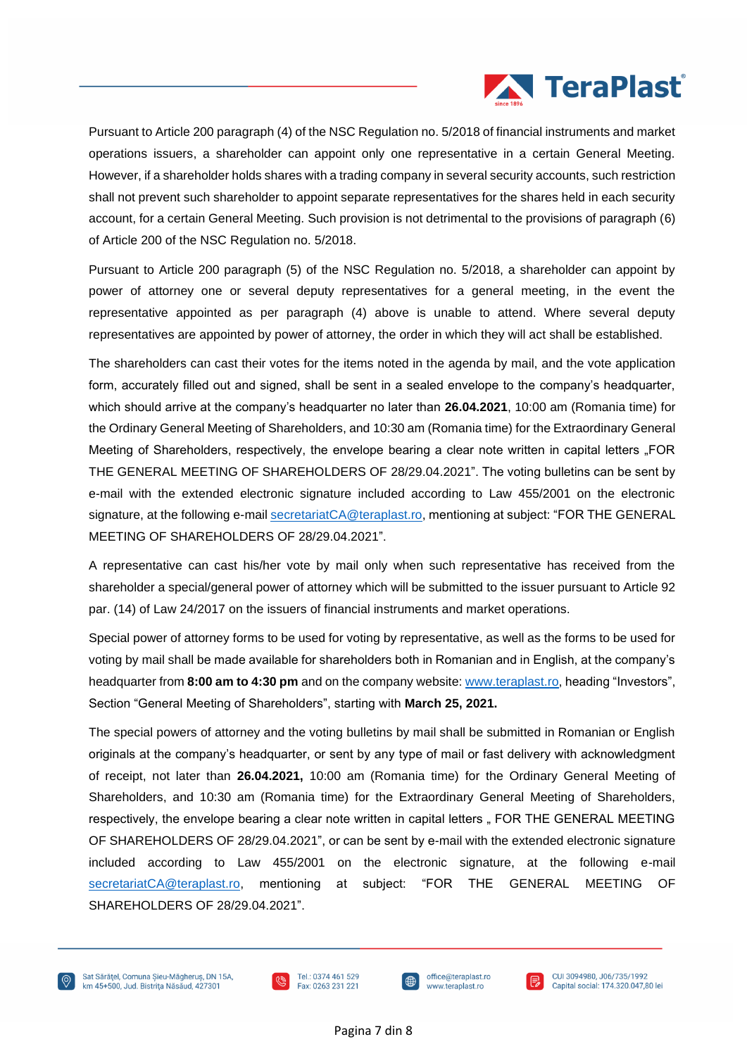

Pursuant to Article 200 paragraph (4) of the NSC Regulation no. 5/2018 of financial instruments and market operations issuers, a shareholder can appoint only one representative in a certain General Meeting. However, if a shareholder holds shares with a trading company in several security accounts, such restriction shall not prevent such shareholder to appoint separate representatives for the shares held in each security account, for a certain General Meeting. Such provision is not detrimental to the provisions of paragraph (6) of Article 200 of the NSC Regulation no. 5/2018.

Pursuant to Article 200 paragraph (5) of the NSC Regulation no. 5/2018, a shareholder can appoint by power of attorney one or several deputy representatives for a general meeting, in the event the representative appointed as per paragraph (4) above is unable to attend. Where several deputy representatives are appointed by power of attorney, the order in which they will act shall be established.

The shareholders can cast their votes for the items noted in the agenda by mail, and the vote application form, accurately filled out and signed, shall be sent in a sealed envelope to the company's headquarter, which should arrive at the company's headquarter no later than **26.04.2021**, 10:00 am (Romania time) for the Ordinary General Meeting of Shareholders, and 10:30 am (Romania time) for the Extraordinary General Meeting of Shareholders, respectively, the envelope bearing a clear note written in capital letters ..FOR THE GENERAL MEETING OF SHAREHOLDERS OF 28/29.04.2021". The voting bulletins can be sent by e-mail with the extended electronic signature included according to Law 455/2001 on the electronic signature, at the following e-mail [secretariatCA@teraplast.ro,](mailto:secretariatCA@teraplast.ro) mentioning at subject: "FOR THE GENERAL MEETING OF SHAREHOLDERS OF 28/29.04.2021".

A representative can cast his/her vote by mail only when such representative has received from the shareholder a special/general power of attorney which will be submitted to the issuer pursuant to Article 92 par. (14) of Law 24/2017 on the issuers of financial instruments and market operations.

Special power of attorney forms to be used for voting by representative, as well as the forms to be used for voting by mail shall be made available for shareholders both in Romanian and in English, at the company's headquarter from **8:00 am to 4:30 pm** and on the company website: [www.teraplast.ro,](http://www.teraplast.ro/) heading "Investors", Section "General Meeting of Shareholders", starting with **March 25, 2021.**

The special powers of attorney and the voting bulletins by mail shall be submitted in Romanian or English originals at the company's headquarter, or sent by any type of mail or fast delivery with acknowledgment of receipt, not later than **26.04.2021,** 10:00 am (Romania time) for the Ordinary General Meeting of Shareholders, and 10:30 am (Romania time) for the Extraordinary General Meeting of Shareholders, respectively, the envelope bearing a clear note written in capital letters " FOR THE GENERAL MEETING OF SHAREHOLDERS OF 28/29.04.2021", or can be sent by e-mail with the extended electronic signature included according to Law 455/2001 on the electronic signature, at the following e-mail [secretariatCA@teraplast.ro,](mailto:secretariatCA@teraplast.ro) mentioning at subject: "FOR THE GENERAL MEETING OF SHAREHOLDERS OF 28/29.04.2021".